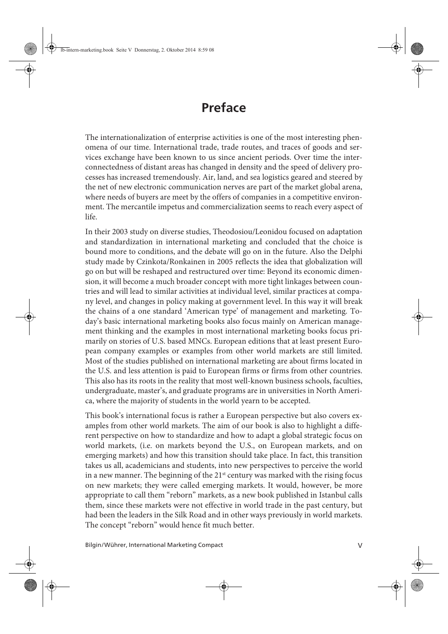## **Preface**

The internationalization of enterprise activities is one of the most interesting phenomena of our time. International trade, trade routes, and traces of goods and services exchange have been known to us since ancient periods. Over time the interconnectedness of distant areas has changed in density and the speed of delivery processes has increased tremendously. Air, land, and sea logistics geared and steered by the net of new electronic communication nerves are part of the market global arena, where needs of buyers are meet by the offers of companies in a competitive environment. The mercantile impetus and commercialization seems to reach every aspect of life.

In their 2003 study on diverse studies, Theodosiou/Leonidou focused on adaptation and standardization in international marketing and concluded that the choice is bound more to conditions, and the debate will go on in the future. Also the Delphi study made by Czinkota/Ronkainen in 2005 reflects the idea that globalization will go on but will be reshaped and restructured over time: Beyond its economic dimension, it will become a much broader concept with more tight linkages between countries and will lead to similar activities at individual level, similar practices at company level, and changes in policy making at government level. In this way it will break the chains of a one standard 'American type' of management and marketing. Today's basic international marketing books also focus mainly on American management thinking and the examples in most international marketing books focus primarily on stories of U.S. based MNCs. European editions that at least present European company examples or examples from other world markets are still limited. Most of the studies published on international marketing are about firms located in the U.S. and less attention is paid to European firms or firms from other countries. This also has its roots in the reality that most well-known business schools, faculties, undergraduate, master's, and graduate programs are in universities in North America, where the majority of students in the world yearn to be accepted.

This book's international focus is rather a European perspective but also covers examples from other world markets. The aim of our book is also to highlight a different perspective on how to standardize and how to adapt a global strategic focus on world markets, (i.e. on markets beyond the U.S., on European markets, and on emerging markets) and how this transition should take place. In fact, this transition takes us all, academicians and students, into new perspectives to perceive the world in a new manner. The beginning of the  $21<sup>st</sup>$  century was marked with the rising focus on new markets; they were called emerging markets. It would, however, be more appropriate to call them "reborn" markets, as a new book published in Istanbul calls them, since these markets were not effective in world trade in the past century, but had been the leaders in the Silk Road and in other ways previously in world markets. The concept "reborn" would hence fit much better.